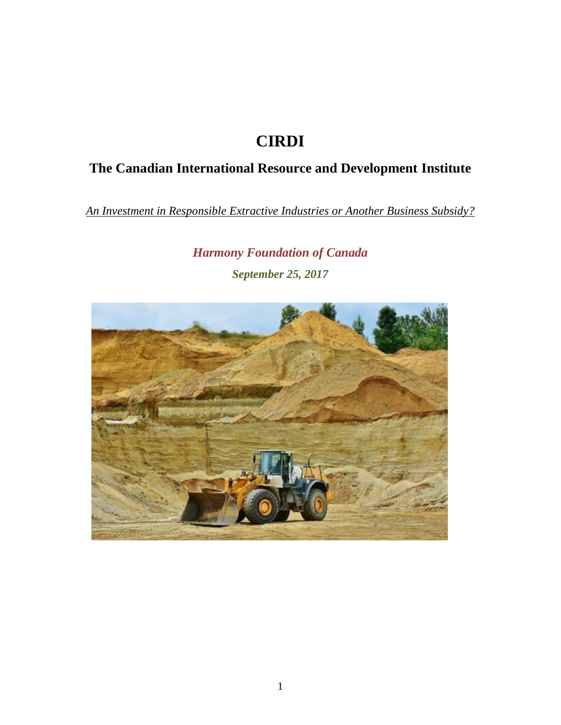# **CIRDI**

# **The Canadian International Resource and Development Institute**

*An Investment in Responsible Extractive Industries or Another Business Subsidy?*

*Harmony Foundation of Canada September 25, 2017* 

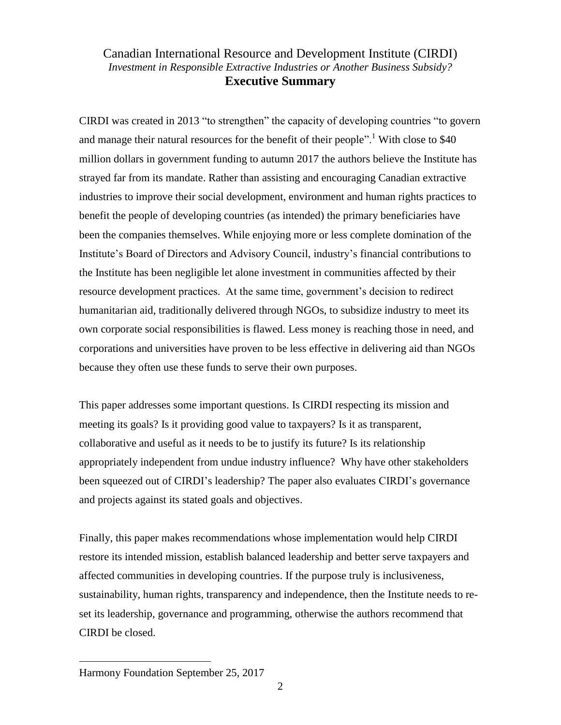## Canadian International Resource and Development Institute (CIRDI) *Investment in Responsible Extractive Industries or Another Business Subsidy?* **Executive Summary**

CIRDI was created in 2013 "to strengthen" the capacity of developing countries "to govern and manage their natural resources for the benefit of their people".<sup>1</sup> With close to  $$40$ million dollars in government funding to autumn 2017 the authors believe the Institute has strayed far from its mandate. Rather than assisting and encouraging Canadian extractive industries to improve their social development, environment and human rights practices to benefit the people of developing countries (as intended) the primary beneficiaries have been the companies themselves. While enjoying more or less complete domination of the Institute's Board of Directors and Advisory Council, industry's financial contributions to the Institute has been negligible let alone investment in communities affected by their resource development practices. At the same time, government's decision to redirect humanitarian aid, traditionally delivered through NGOs, to subsidize industry to meet its own corporate social responsibilities is flawed. Less money is reaching those in need, and corporations and universities have proven to be less effective in delivering aid than NGOs because they often use these funds to serve their own purposes.

This paper addresses some important questions. Is CIRDI respecting its mission and meeting its goals? Is it providing good value to taxpayers? Is it as transparent, collaborative and useful as it needs to be to justify its future? Is its relationship appropriately independent from undue industry influence? Why have other stakeholders been squeezed out of CIRDI's leadership? The paper also evaluates CIRDI's governance and projects against its stated goals and objectives.

Finally, this paper makes recommendations whose implementation would help CIRDI restore its intended mission, establish balanced leadership and better serve taxpayers and affected communities in developing countries. If the purpose truly is inclusiveness, sustainability, human rights, transparency and independence, then the Institute needs to reset its leadership, governance and programming, otherwise the authors recommend that CIRDI be closed.

 $\overline{\phantom{a}}$ 

Harmony Foundation September 25, 2017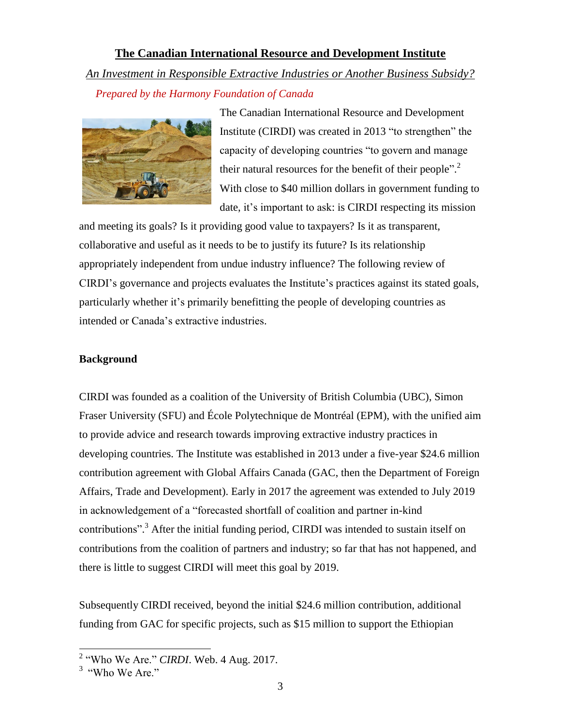## **The Canadian International Resource and Development Institute**  *An Investment in Responsible Extractive Industries or Another Business Subsidy?*

 *Prepared by the Harmony Foundation of Canada* 



The Canadian International Resource and Development Institute (CIRDI) was created in 2013 "to strengthen" the capacity of developing countries "to govern and manage their natural resources for the benefit of their people".<sup>2</sup> With close to \$40 million dollars in government funding to date, it's important to ask: is CIRDI respecting its mission

and meeting its goals? Is it providing good value to taxpayers? Is it as transparent, collaborative and useful as it needs to be to justify its future? Is its relationship appropriately independent from undue industry influence? The following review of CIRDI's governance and projects evaluates the Institute's practices against its stated goals, particularly whether it's primarily benefitting the people of developing countries as intended or Canada's extractive industries.

## **Background**

CIRDI was founded as a coalition of the University of British Columbia (UBC), Simon Fraser University (SFU) and École Polytechnique de Montréal (EPM), with the unified aim to provide advice and research towards improving extractive industry practices in developing countries. The Institute was established in 2013 under a five-year \$24.6 million contribution agreement with Global Affairs Canada (GAC, then the Department of Foreign Affairs, Trade and Development). Early in 2017 the agreement was extended to July 2019 in acknowledgement of a "forecasted shortfall of coalition and partner in-kind contributions".<sup>3</sup> After the initial funding period, CIRDI was intended to sustain itself on contributions from the coalition of partners and industry; so far that has not happened, and there is little to suggest CIRDI will meet this goal by 2019.

Subsequently CIRDI received, beyond the initial \$24.6 million contribution, additional funding from GAC for specific projects, such as \$15 million to support the Ethiopian

<sup>&</sup>lt;sup>2</sup> "Who We Are." *CIRDI*. Web. 4 Aug. 2017.

<sup>&</sup>lt;sup>3</sup> "Who We Are."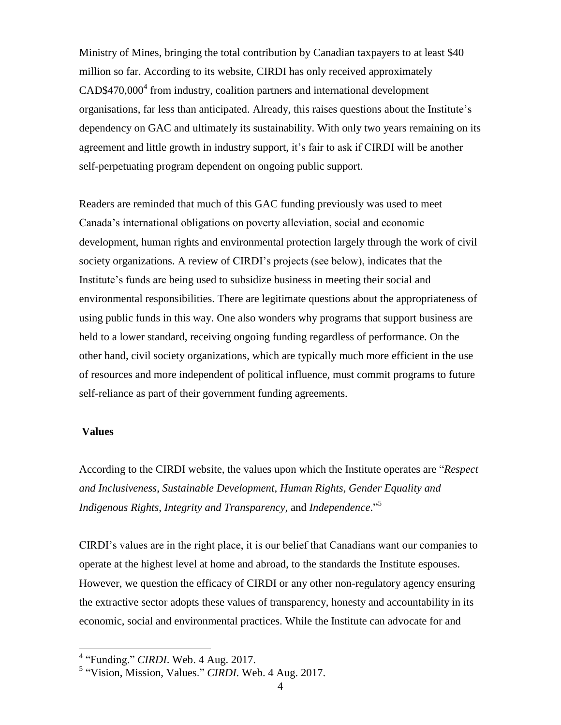Ministry of Mines, bringing the total contribution by Canadian taxpayers to at least \$40 million so far. According to its website, CIRDI has only received approximately CAD\$470,000<sup>4</sup> from industry, coalition partners and international development organisations, far less than anticipated. Already, this raises questions about the Institute's dependency on GAC and ultimately its sustainability. With only two years remaining on its agreement and little growth in industry support, it's fair to ask if CIRDI will be another self-perpetuating program dependent on ongoing public support.

Readers are reminded that much of this GAC funding previously was used to meet Canada's international obligations on poverty alleviation, social and economic development, human rights and environmental protection largely through the work of civil society organizations. A review of CIRDI's projects (see below), indicates that the Institute's funds are being used to subsidize business in meeting their social and environmental responsibilities. There are legitimate questions about the appropriateness of using public funds in this way. One also wonders why programs that support business are held to a lower standard, receiving ongoing funding regardless of performance. On the other hand, civil society organizations, which are typically much more efficient in the use of resources and more independent of political influence, must commit programs to future self-reliance as part of their government funding agreements.

### **Values**

 $\overline{\phantom{a}}$ 

According to the CIRDI website, the values upon which the Institute operates are "*Respect and Inclusiveness*, *Sustainable Development*, *Human Rights, Gender Equality and Indigenous Rights*, *Integrity and Transparency*, and *Independence*." 5

CIRDI's values are in the right place, it is our belief that Canadians want our companies to operate at the highest level at home and abroad, to the standards the Institute espouses. However, we question the efficacy of CIRDI or any other non-regulatory agency ensuring the extractive sector adopts these values of transparency, honesty and accountability in its economic, social and environmental practices. While the Institute can advocate for and

<sup>4</sup> "Funding." *CIRDI*. Web. 4 Aug. 2017.

<sup>5</sup> "Vision, Mission, Values." *CIRDI*. Web. 4 Aug. 2017.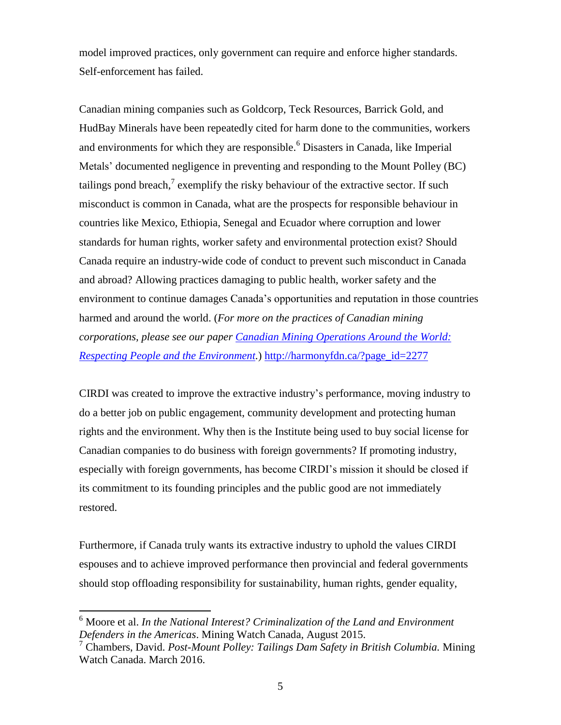model improved practices, only government can require and enforce higher standards. Self-enforcement has failed.

Canadian mining companies such as Goldcorp, Teck Resources, Barrick Gold, and HudBay Minerals have been repeatedly cited for harm done to the communities, workers and environments for which they are responsible.<sup>6</sup> Disasters in Canada, like Imperial Metals' documented negligence in preventing and responding to the Mount Polley (BC) tailings pond breach,<sup>7</sup> exemplify the risky behaviour of the extractive sector. If such misconduct is common in Canada, what are the prospects for responsible behaviour in countries like Mexico, Ethiopia, Senegal and Ecuador where corruption and lower standards for human rights, worker safety and environmental protection exist? Should Canada require an industry-wide code of conduct to prevent such misconduct in Canada and abroad? Allowing practices damaging to public health, worker safety and the environment to continue damages Canada's opportunities and reputation in those countries harmed and around the world. (*For more on the practices of Canadian mining corporations, please see our paper [Canadian Mining Operations](http://harmonyfdn.ca/?page_id=2277) Around the World: [Respecting People and the Environment.](http://harmonyfdn.ca/?page_id=2277)*) [http://harmonyfdn.ca/?page\\_id=2277](http://harmonyfdn.ca/?page_id=2277)

CIRDI was created to improve the extractive industry's performance, moving industry to do a better job on public engagement, community development and protecting human rights and the environment. Why then is the Institute being used to buy social license for Canadian companies to do business with foreign governments? If promoting industry, especially with foreign governments, has become CIRDI's mission it should be closed if its commitment to its founding principles and the public good are not immediately restored.

Furthermore, if Canada truly wants its extractive industry to uphold the values CIRDI espouses and to achieve improved performance then provincial and federal governments should stop offloading responsibility for sustainability, human rights, gender equality,

l

<sup>6</sup> Moore et al. *In the National Interest? Criminalization of the Land and Environment Defenders in the Americas*. Mining Watch Canada, August 2015.

<sup>7</sup> Chambers, David. *Post-Mount Polley: Tailings Dam Safety in British Columbia.* Mining Watch Canada. March 2016.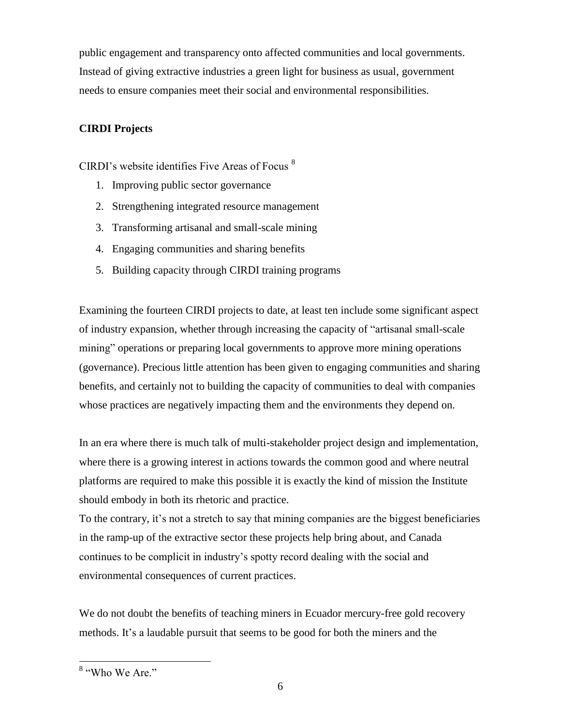public engagement and transparency onto affected communities and local governments. Instead of giving extractive industries a green light for business as usual, government needs to ensure companies meet their social and environmental responsibilities.

## **CIRDI Projects**

CIRDI's website identifies Five Areas of Focus <sup>8</sup>

- 1. Improving public sector governance
- 2. Strengthening integrated resource management
- 3. Transforming artisanal and small-scale mining
- 4. Engaging communities and sharing benefits
- 5. Building capacity through CIRDI training programs

Examining the fourteen CIRDI projects to date, at least ten include some significant aspect of industry expansion, whether through increasing the capacity of "artisanal small-scale mining" operations or preparing local governments to approve more mining operations (governance). Precious little attention has been given to engaging communities and sharing benefits, and certainly not to building the capacity of communities to deal with companies whose practices are negatively impacting them and the environments they depend on.

In an era where there is much talk of multi-stakeholder project design and implementation, where there is a growing interest in actions towards the common good and where neutral platforms are required to make this possible it is exactly the kind of mission the Institute should embody in both its rhetoric and practice.

To the contrary, it's not a stretch to say that mining companies are the biggest beneficiaries in the ramp-up of the extractive sector these projects help bring about, and Canada continues to be complicit in industry's spotty record dealing with the social and environmental consequences of current practices.

We do not doubt the benefits of teaching miners in Ecuador mercury-free gold recovery methods. It's a laudable pursuit that seems to be good for both the miners and the

<sup>&</sup>lt;sup>8</sup> "Who We Are."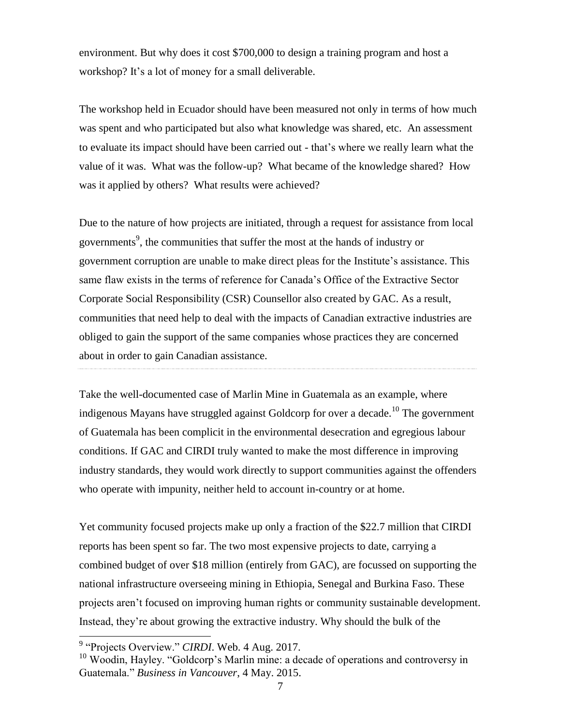environment. But why does it cost \$700,000 to design a training program and host a workshop? It's a lot of money for a small deliverable.

The workshop held in Ecuador should have been measured not only in terms of how much was spent and who participated but also what knowledge was shared, etc. An assessment to evaluate its impact should have been carried out - that's where we really learn what the value of it was. What was the follow-up? What became of the knowledge shared? How was it applied by others? What results were achieved?

Due to the nature of how projects are initiated, through a request for assistance from local governments 9 , the communities that suffer the most at the hands of industry or government corruption are unable to make direct pleas for the Institute's assistance. This same flaw exists in the terms of reference for Canada's Office of the Extractive Sector Corporate Social Responsibility (CSR) Counsellor also created by GAC. As a result, communities that need help to deal with the impacts of Canadian extractive industries are obliged to gain the support of the same companies whose practices they are concerned about in order to gain Canadian assistance.

Take the well-documented case of Marlin Mine in Guatemala as an example, where indigenous Mayans have struggled against Goldcorp for over a decade.<sup>10</sup> The government of Guatemala has been complicit in the environmental desecration and egregious labour conditions. If GAC and CIRDI truly wanted to make the most difference in improving industry standards, they would work directly to support communities against the offenders who operate with impunity, neither held to account in-country or at home.

Yet community focused projects make up only a fraction of the \$22.7 million that CIRDI reports has been spent so far. The two most expensive projects to date, carrying a combined budget of over \$18 million (entirely from GAC), are focussed on supporting the national infrastructure overseeing mining in Ethiopia, Senegal and Burkina Faso. These projects aren't focused on improving human rights or community sustainable development. Instead, they're about growing the extractive industry. Why should the bulk of the

<sup>&</sup>lt;sup>9</sup> "Projects Overview." *CIRDI*. Web. 4 Aug. 2017.

<sup>&</sup>lt;sup>10</sup> Woodin, Hayley. "Goldcorp's Marlin mine: a decade of operations and controversy in Guatemala." *Business in Vancouver*, 4 May. 2015.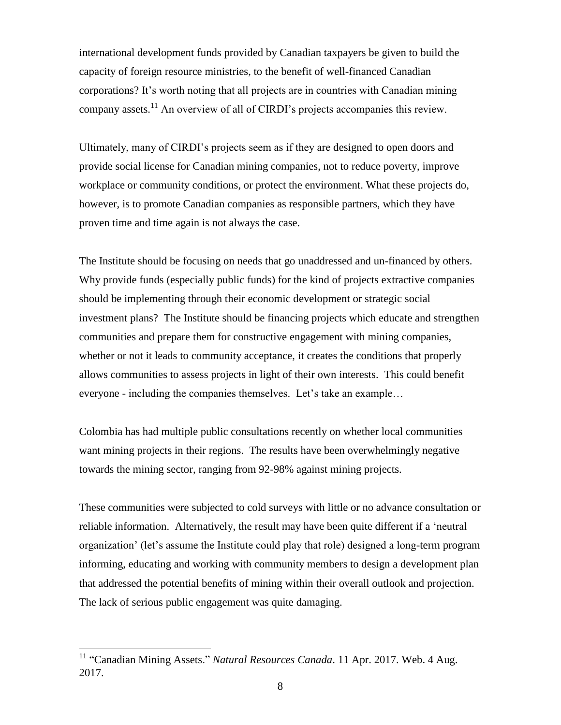international development funds provided by Canadian taxpayers be given to build the capacity of foreign resource ministries, to the benefit of well-financed Canadian corporations? It's worth noting that all projects are in countries with Canadian mining company assets.<sup>11</sup> An overview of all of CIRDI's projects accompanies this review.

Ultimately, many of CIRDI's projects seem as if they are designed to open doors and provide social license for Canadian mining companies, not to reduce poverty, improve workplace or community conditions, or protect the environment. What these projects do, however, is to promote Canadian companies as responsible partners, which they have proven time and time again is not always the case.

The Institute should be focusing on needs that go unaddressed and un-financed by others. Why provide funds (especially public funds) for the kind of projects extractive companies should be implementing through their economic development or strategic social investment plans? The Institute should be financing projects which educate and strengthen communities and prepare them for constructive engagement with mining companies, whether or not it leads to community acceptance, it creates the conditions that properly allows communities to assess projects in light of their own interests. This could benefit everyone - including the companies themselves. Let's take an example…

Colombia has had multiple public consultations recently on whether local communities want mining projects in their regions. The results have been overwhelmingly negative towards the mining sector, ranging from 92-98% against mining projects.

These communities were subjected to cold surveys with little or no advance consultation or reliable information. Alternatively, the result may have been quite different if a 'neutral organization' (let's assume the Institute could play that role) designed a long-term program informing, educating and working with community members to design a development plan that addressed the potential benefits of mining within their overall outlook and projection. The lack of serious public engagement was quite damaging.

 $\overline{\phantom{a}}$ 

<sup>&</sup>lt;sup>11</sup> "Canadian Mining Assets." *Natural Resources Canada*. 11 Apr. 2017. Web. 4 Aug. 2017.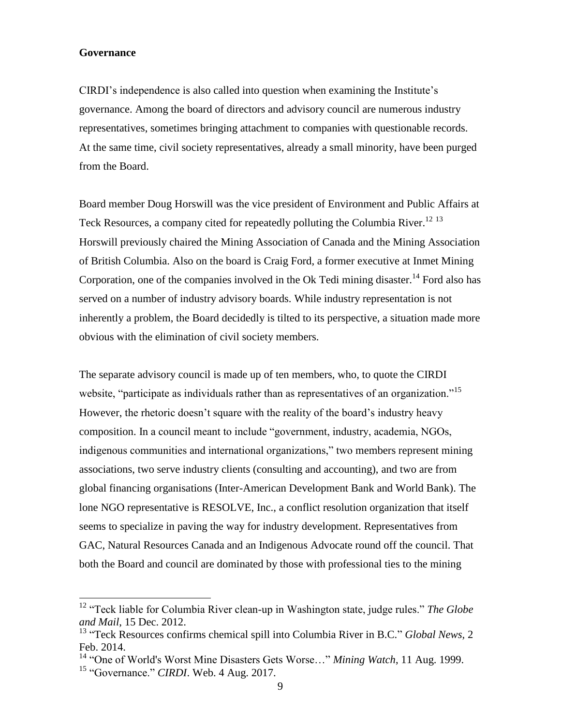### **Governance**

 $\overline{\phantom{a}}$ 

CIRDI's independence is also called into question when examining the Institute's governance. Among the board of directors and advisory council are numerous industry representatives, sometimes bringing attachment to companies with questionable records. At the same time, civil society representatives, already a small minority, have been purged from the Board.

Board member Doug Horswill was the vice president of Environment and Public Affairs at Teck Resources, a company cited for repeatedly polluting the Columbia River.<sup>12 13</sup> Horswill previously chaired the Mining Association of Canada and the Mining Association of British Columbia. Also on the board is Craig Ford, a former executive at Inmet Mining Corporation, one of the companies involved in the Ok Tedi mining disaster.<sup>14</sup> Ford also has served on a number of industry advisory boards. While industry representation is not inherently a problem, the Board decidedly is tilted to its perspective, a situation made more obvious with the elimination of civil society members.

The separate advisory council is made up of ten members, who, to quote the CIRDI website, "participate as individuals rather than as representatives of an organization."<sup>15</sup> However, the rhetoric doesn't square with the reality of the board's industry heavy composition. In a council meant to include "government, industry, academia, NGOs, indigenous communities and international organizations," two members represent mining associations, two serve industry clients (consulting and accounting), and two are from global financing organisations (Inter-American Development Bank and World Bank). The lone NGO representative is RESOLVE, Inc., a conflict resolution organization that itself seems to specialize in paving the way for industry development. Representatives from GAC, Natural Resources Canada and an Indigenous Advocate round off the council. That both the Board and council are dominated by those with professional ties to the mining

<sup>12</sup> "Teck liable for Columbia River clean-up in Washington state, judge rules." *The Globe and Mail*, 15 Dec. 2012.

<sup>13</sup> "Teck Resources confirms chemical spill into Columbia River in B.C." *Global News,* 2 Feb. 2014.

<sup>14</sup> "One of World's Worst Mine Disasters Gets Worse…" *Mining Watch*, 11 Aug. 1999. <sup>15</sup> "Governance." *CIRDI*. Web. 4 Aug. 2017.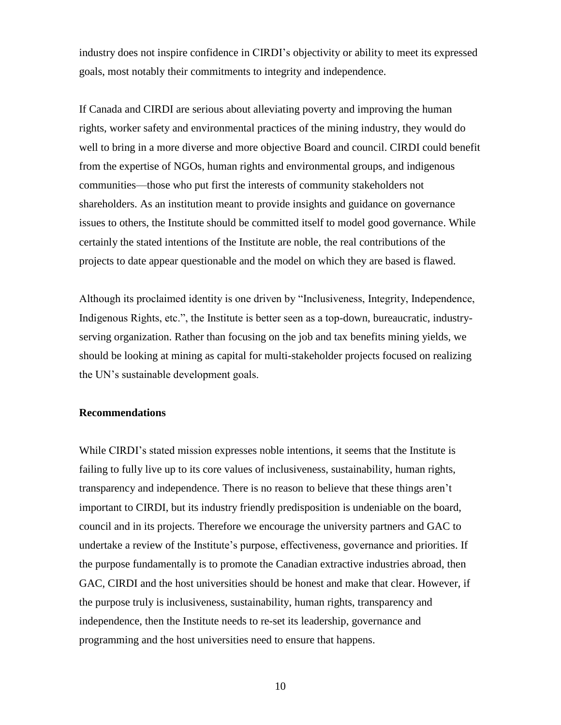industry does not inspire confidence in CIRDI's objectivity or ability to meet its expressed goals, most notably their commitments to integrity and independence.

If Canada and CIRDI are serious about alleviating poverty and improving the human rights, worker safety and environmental practices of the mining industry, they would do well to bring in a more diverse and more objective Board and council. CIRDI could benefit from the expertise of NGOs, human rights and environmental groups, and indigenous communities—those who put first the interests of community stakeholders not shareholders. As an institution meant to provide insights and guidance on governance issues to others, the Institute should be committed itself to model good governance. While certainly the stated intentions of the Institute are noble, the real contributions of the projects to date appear questionable and the model on which they are based is flawed.

Although its proclaimed identity is one driven by "Inclusiveness, Integrity, Independence, Indigenous Rights, etc.", the Institute is better seen as a top-down, bureaucratic, industryserving organization. Rather than focusing on the job and tax benefits mining yields, we should be looking at mining as capital for multi-stakeholder projects focused on realizing the UN's sustainable development goals.

### **Recommendations**

While CIRDI's stated mission expresses noble intentions, it seems that the Institute is failing to fully live up to its core values of inclusiveness, sustainability, human rights, transparency and independence. There is no reason to believe that these things aren't important to CIRDI, but its industry friendly predisposition is undeniable on the board, council and in its projects. Therefore we encourage the university partners and GAC to undertake a review of the Institute's purpose, effectiveness, governance and priorities. If the purpose fundamentally is to promote the Canadian extractive industries abroad, then GAC, CIRDI and the host universities should be honest and make that clear. However, if the purpose truly is inclusiveness, sustainability, human rights, transparency and independence, then the Institute needs to re-set its leadership, governance and programming and the host universities need to ensure that happens.

10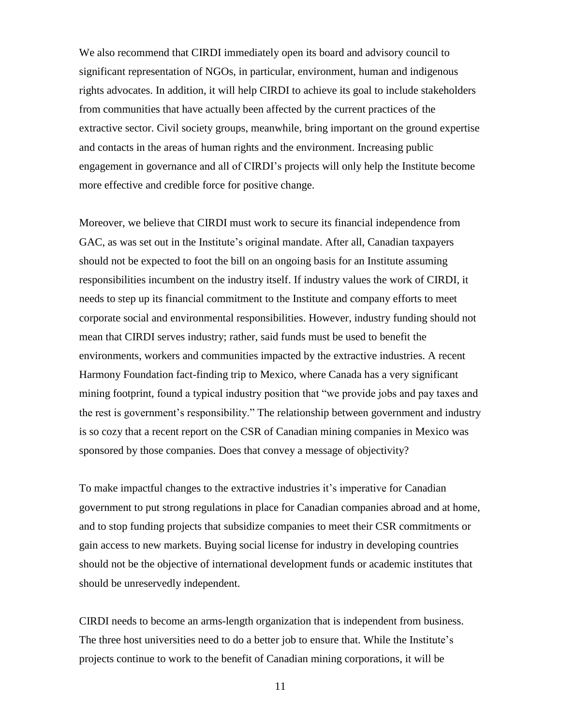We also recommend that CIRDI immediately open its board and advisory council to significant representation of NGOs, in particular, environment, human and indigenous rights advocates. In addition, it will help CIRDI to achieve its goal to include stakeholders from communities that have actually been affected by the current practices of the extractive sector. Civil society groups, meanwhile, bring important on the ground expertise and contacts in the areas of human rights and the environment. Increasing public engagement in governance and all of CIRDI's projects will only help the Institute become more effective and credible force for positive change.

Moreover, we believe that CIRDI must work to secure its financial independence from GAC, as was set out in the Institute's original mandate. After all, Canadian taxpayers should not be expected to foot the bill on an ongoing basis for an Institute assuming responsibilities incumbent on the industry itself. If industry values the work of CIRDI, it needs to step up its financial commitment to the Institute and company efforts to meet corporate social and environmental responsibilities. However, industry funding should not mean that CIRDI serves industry; rather, said funds must be used to benefit the environments, workers and communities impacted by the extractive industries. A recent Harmony Foundation fact-finding trip to Mexico, where Canada has a very significant mining footprint, found a typical industry position that "we provide jobs and pay taxes and the rest is government's responsibility." The relationship between government and industry is so cozy that a recent report on the CSR of Canadian mining companies in Mexico was sponsored by those companies. Does that convey a message of objectivity?

To make impactful changes to the extractive industries it's imperative for Canadian government to put strong regulations in place for Canadian companies abroad and at home, and to stop funding projects that subsidize companies to meet their CSR commitments or gain access to new markets. Buying social license for industry in developing countries should not be the objective of international development funds or academic institutes that should be unreservedly independent.

CIRDI needs to become an arms-length organization that is independent from business. The three host universities need to do a better job to ensure that. While the Institute's projects continue to work to the benefit of Canadian mining corporations, it will be

11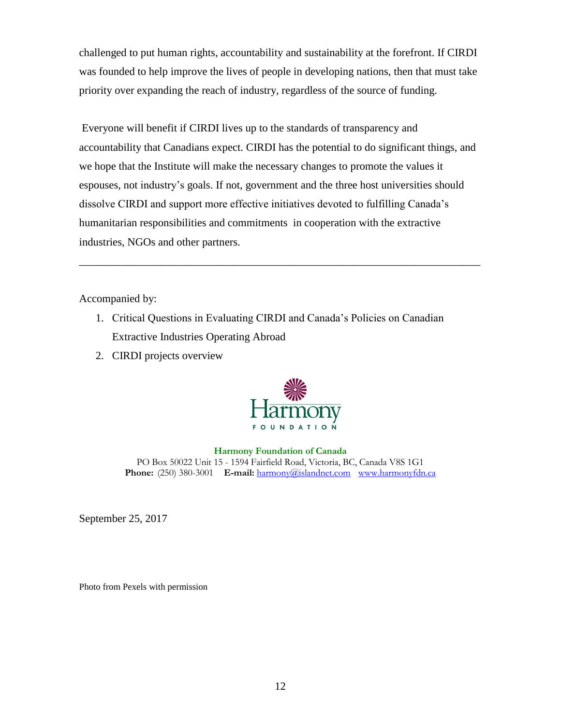challenged to put human rights, accountability and sustainability at the forefront. If CIRDI was founded to help improve the lives of people in developing nations, then that must take priority over expanding the reach of industry, regardless of the source of funding.

Everyone will benefit if CIRDI lives up to the standards of transparency and accountability that Canadians expect. CIRDI has the potential to do significant things, and we hope that the Institute will make the necessary changes to promote the values it espouses, not industry's goals. If not, government and the three host universities should dissolve CIRDI and support more effective initiatives devoted to fulfilling Canada's humanitarian responsibilities and commitments in cooperation with the extractive industries, NGOs and other partners.

\_\_\_\_\_\_\_\_\_\_\_\_\_\_\_\_\_\_\_\_\_\_\_\_\_\_\_\_\_\_\_\_\_\_\_\_\_\_\_\_\_\_\_\_\_\_\_\_\_\_\_\_\_\_\_\_\_\_\_\_\_\_\_\_\_\_\_\_\_\_\_\_\_

Accompanied by:

- 1. Critical Questions in Evaluating CIRDI and Canada's Policies on Canadian Extractive Industries Operating Abroad
- 2. CIRDI projects overview



**Harmony Foundation of Canada** PO Box 50022 Unit 15 - 1594 Fairfield Road, Victoria, BC, Canada V8S 1G1 Phone: (250) 380-3001 **E-mail:** [harmony@islandnet.com](mailto:harmony@islandnet.com) [www.harmonyfdn.ca](http://www.harmonyfdn.ca/)

September 25, 2017

Photo from Pexels with permission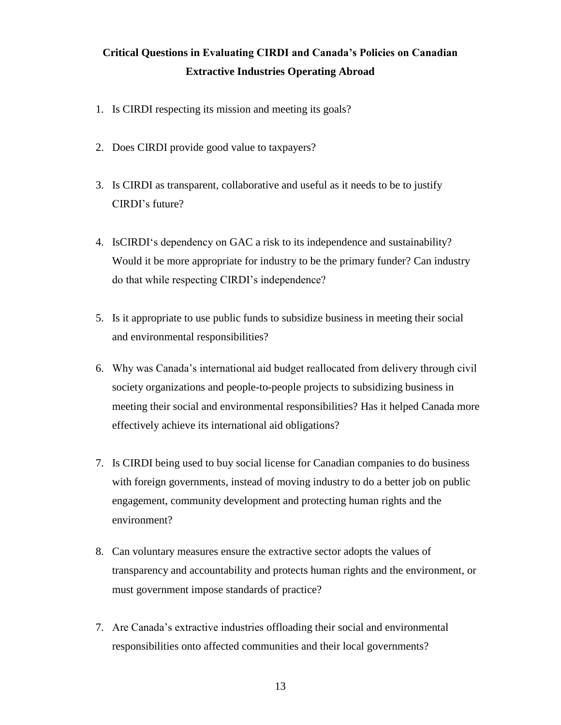# **Critical Questions in Evaluating CIRDI and Canada's Policies on Canadian Extractive Industries Operating Abroad**

- 1. Is CIRDI respecting its mission and meeting its goals?
- 2. Does CIRDI provide good value to taxpayers?
- 3. Is CIRDI as transparent, collaborative and useful as it needs to be to justify CIRDI's future?
- 4. IsCIRDI's dependency on GAC a risk to its independence and sustainability? Would it be more appropriate for industry to be the primary funder? Can industry do that while respecting CIRDI's independence?
- 5. Is it appropriate to use public funds to subsidize business in meeting their social and environmental responsibilities?
- 6. Why was Canada's international aid budget reallocated from delivery through civil society organizations and people-to-people projects to subsidizing business in meeting their social and environmental responsibilities? Has it helped Canada more effectively achieve its international aid obligations?
- 7. Is CIRDI being used to buy social license for Canadian companies to do business with foreign governments, instead of moving industry to do a better job on public engagement, community development and protecting human rights and the environment?
- 8. Can voluntary measures ensure the extractive sector adopts the values of transparency and accountability and protects human rights and the environment, or must government impose standards of practice?
- 7. Are Canada's extractive industries offloading their social and environmental responsibilities onto affected communities and their local governments?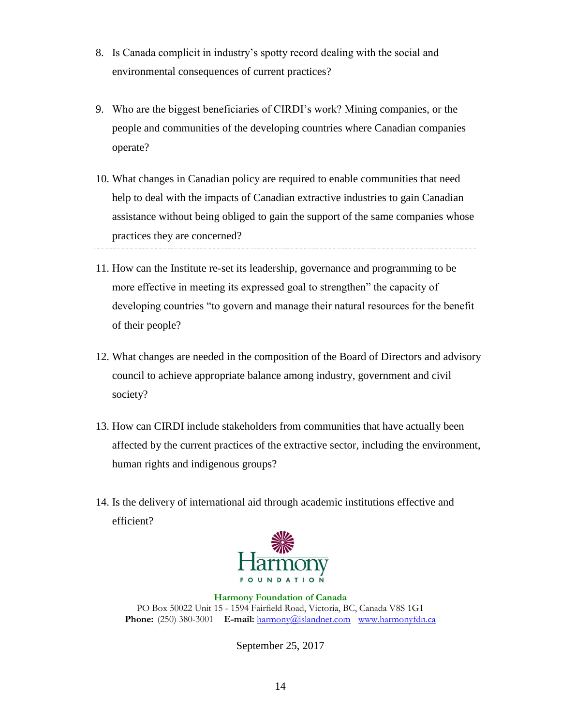- 8. Is Canada complicit in industry's spotty record dealing with the social and environmental consequences of current practices?
- 9. Who are the biggest beneficiaries of CIRDI's work? Mining companies, or the people and communities of the developing countries where Canadian companies operate?
- 10. What changes in Canadian policy are required to enable communities that need help to deal with the impacts of Canadian extractive industries to gain Canadian assistance without being obliged to gain the support of the same companies whose practices they are concerned?
- 11. How can the Institute re-set its leadership, governance and programming to be more effective in meeting its expressed goal to strengthen" the capacity of developing countries "to govern and manage their natural resources for the benefit of their people?
- 12. What changes are needed in the composition of the Board of Directors and advisory council to achieve appropriate balance among industry, government and civil society?
- 13. How can CIRDI include stakeholders from communities that have actually been affected by the current practices of the extractive sector, including the environment, human rights and indigenous groups?
- 14. Is the delivery of international aid through academic institutions effective and efficient?



**Harmony Foundation of Canada** PO Box 50022 Unit 15 - 1594 Fairfield Road, Victoria, BC, Canada V8S 1G1 Phone: (250) 380-3001 **E-mail:** [harmony@islandnet.com](mailto:harmony@islandnet.com) [www.harmonyfdn.ca](http://www.harmonyfdn.ca/)

September 25, 2017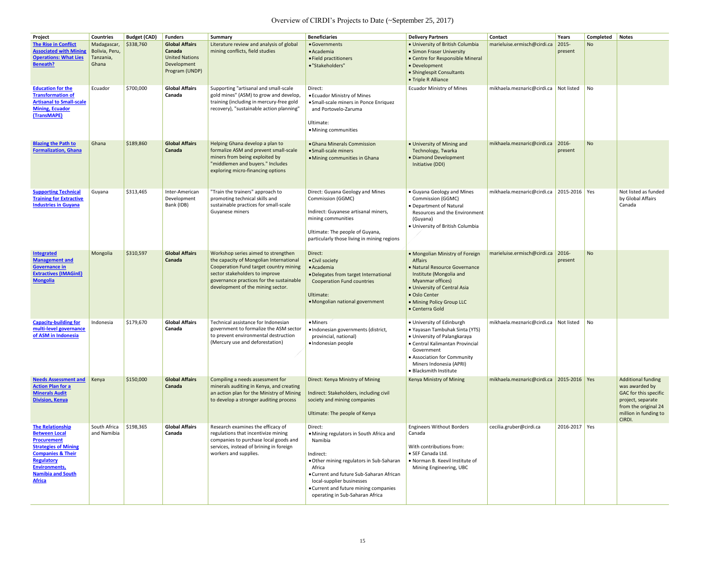| Project                                                                                                                                                                                                                 | <b>Countries</b>                                    | <b>Budget (CAD)</b> | <b>Funders</b>                                                                            | <b>Summary</b>                                                                                                                                                                                                                              | <b>Beneficiaries</b>                                                                                                                                                                                                                                                                  | <b>Delivery Partners</b>                                                                                                                                                                                                         | <b>Contact</b>                           | Years               | <b>Completed</b>            | Notes                                                                                                                                                       |
|-------------------------------------------------------------------------------------------------------------------------------------------------------------------------------------------------------------------------|-----------------------------------------------------|---------------------|-------------------------------------------------------------------------------------------|---------------------------------------------------------------------------------------------------------------------------------------------------------------------------------------------------------------------------------------------|---------------------------------------------------------------------------------------------------------------------------------------------------------------------------------------------------------------------------------------------------------------------------------------|----------------------------------------------------------------------------------------------------------------------------------------------------------------------------------------------------------------------------------|------------------------------------------|---------------------|-----------------------------|-------------------------------------------------------------------------------------------------------------------------------------------------------------|
| <b>The Rise in Conflict</b><br><b>Associated with Mining</b><br><b>Operations: What Lies</b><br><b>Beneath?</b>                                                                                                         | Madagascar,<br>Bolivia, Peru,<br>Tanzania,<br>Ghana | \$338,760           | <b>Global Affairs</b><br>Canada<br><b>United Nations</b><br>Development<br>Program (UNDP) | Literature review and analysis of global<br>mining conflicts, field studies                                                                                                                                                                 | • Governments<br>• Academia<br>• Field practitioners<br>• "Stakeholders"                                                                                                                                                                                                              | • University of British Columbia<br>• Simon Fraser University<br>• Centre for Responsible Mineral<br>• Development<br>• Shinglespit Consultants<br>• Triple R Alliance                                                           | marieluise.ermisch@cirdi.ca              | $2015 -$<br>present | <b>No</b>                   |                                                                                                                                                             |
| <b>Education for the</b><br><b>Transformation of</b><br><b>Artisanal to Small-scale</b><br><b>Mining, Ecuador</b><br>(TransMAPE)                                                                                        | Ecuador                                             | \$700,000           | <b>Global Affairs</b><br>Canada                                                           | Supporting "artisanal and small-scale<br>gold mines" (ASM) to grow and develop,<br>training (including in mercury-free gold<br>recovery), "sustainable action planning"                                                                     | Direct:<br>• Ecuador Ministry of Mines<br>• Small-scale miners in Ponce Enriquez<br>and Portovelo-Zaruma<br>Ultimate:<br>• Mining communities                                                                                                                                         | <b>Ecuador Ministry of Mines</b>                                                                                                                                                                                                 | mikhaela.meznaric@cirdi.ca Not listed    |                     | $\overline{\phantom{a}}$ No |                                                                                                                                                             |
| <b>Blazing the Path to</b><br><b>Formalization, Ghana</b>                                                                                                                                                               | Ghana                                               | \$189,860           | <b>Global Affairs</b><br>Canada                                                           | Helping Ghana develop a plan to<br>formalize ASM and prevent small-scale<br>miners from being exploited by<br>"middlemen and buyers." Includes<br>exploring micro-financing options                                                         | • Ghana Minerals Commission<br>• Small-scale miners<br>• Mining communities in Ghana                                                                                                                                                                                                  | • University of Mining and<br>Technology, Twarka<br>• Diamond Development<br>Initiative (DDI)                                                                                                                                    | mikhaela.meznaric@cirdi.ca               | 2016-<br>present    | <b>No</b>                   |                                                                                                                                                             |
| <b>Supporting Technical</b><br><b>Training for Extractive</b><br><b>Industries in Guyana</b>                                                                                                                            | Guyana                                              | \$313,465           | Inter-American<br>Development<br>Bank (IDB)                                               | "Train the trainers" approach to<br>promoting technical skills and<br>sustainable practices for small-scale<br>Guyanese miners                                                                                                              | Direct: Guyana Geology and Mines<br><b>Commission (GGMC)</b><br>Indirect: Guyanese artisanal miners,<br>mining communities<br>Ultimate: The people of Guyana,<br>particularly those living in mining regions                                                                          | • Guyana Geology and Mines<br><b>Commission (GGMC)</b><br>• Department of Natural<br>Resources and the Environment<br>(Guyana)<br>• University of British Columbia                                                               | mikhaela.meznaric@cirdi.ca               | 2015-2016 Yes       |                             | Not listed as funded<br>by Global Affairs<br>Canada                                                                                                         |
| <b>Integrated</b><br><b>Management and</b><br><b>Governance in</b><br><b>Extractives (IMAGinE)</b><br><b>Mongolia</b>                                                                                                   | Mongolia                                            | \$310,597           | <b>Global Affairs</b><br>Canada                                                           | Workshop series aimed to strengthen<br>the capacity of Mongolian International<br>Cooperation Fund target country mining<br>sector stakeholders to improve<br>governance practices for the sustainable<br>development of the mining sector. | Direct:<br>• Civil society<br>· Academia<br>• Delegates from target International<br><b>Cooperation Fund countries</b><br>Ultimate:<br>• Mongolian national government                                                                                                                | • Mongolian Ministry of Foreign<br>Affairs<br>• Natural Resource Governance<br>Institute (Mongolia and<br>Myanmar offices)<br>• University of Central Asia<br>• Oslo Center<br>• Mining Policy Group LLC<br>• Centerra Gold      | marieluise.ermisch@cirdi.ca              | 2016-<br>present    | <b>No</b>                   |                                                                                                                                                             |
| <b>Capacity-building for</b><br>multi-level governance<br>of ASM in Indonesia                                                                                                                                           | Indonesia                                           | \$179,670           | <b>Global Affairs</b><br>Canada                                                           | Technical assistance for Indonesian<br>government to formalize the ASM sector<br>to prevent environmental destruction<br>(Mercury use and deforestation)                                                                                    | $\bullet$ Miners<br>· Indonesian governments (district,<br>provincial, national)<br>· Indonesian people                                                                                                                                                                               | • University of Edinburgh<br>• Yayasan Tambuhak Sinta (YTS)<br>• University of Palangkaraya<br>• Central Kalimantan Provincial<br>Government<br>• Association for Community<br>Miners Indonesia (APRI)<br>• Blacksmith Institute | mikhaela.meznaric@cirdi.ca               | Not listed          | $\overline{\phantom{a}}$ No |                                                                                                                                                             |
| <b>Needs Assessment and</b><br><b>Action Plan for a</b><br><b>Minerals Audit</b><br><b>Division, Kenya</b>                                                                                                              | Kenya                                               | \$150,000           | <b>Global Affairs</b><br>Canada                                                           | Compiling a needs assessment for<br>minerals auditing in Kenya, and creating<br>an action plan for the Ministry of Mining<br>to develop a stronger auditing process                                                                         | Direct: Kenya Ministry of Mining<br>Indirect: Stakeholders, including civil<br>society and mining companies<br>Ultimate: The people of Kenya                                                                                                                                          | Kenya Ministry of Mining                                                                                                                                                                                                         | mikhaela.meznaric@cirdi.ca 2015-2016 Yes |                     |                             | <b>Additional funding</b><br>was awarded by<br><b>GAC</b> for this specific<br>project, separate<br>from the original 24<br>million in funding to<br>CIRDI. |
| <b>The Relationship</b><br><b>Between Local</b><br><b>Procurement</b><br><b>Strategies of Mining</b><br><b>Companies &amp; Their</b><br>Regulatory<br><b>Environments,</b><br><b>Namibia and South</b><br><b>Africa</b> | South Africa<br>and Namibia                         | \$198,365           | <b>Global Affairs</b><br>Canada                                                           | Research examines the efficacy of<br>regulations that incentivize mining<br>companies to purchase local goods and<br>services, instead of brining in foreign<br>workers and supplies.                                                       | Direct:<br>• Mining regulators in South Africa and<br>Namibia<br>Indirect:<br>• Other mining regulators in Sub-Saharan<br>Africa<br>• Current and future Sub-Saharan African<br>local-supplier businesses<br>• Current and future mining companies<br>operating in Sub-Saharan Africa | <b>Engineers Without Borders</b><br>Canada<br>With contributions from:<br>· SEF Canada Ltd.<br>• Norman B. Keevil Institute of<br>Mining Engineering, UBC                                                                        | cecilia.gruber@cirdi.ca                  | 2016-2017   Yes     |                             |                                                                                                                                                             |